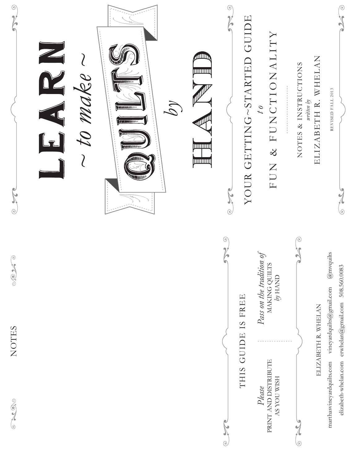| $\odot$<br>Noted by the line<br>$^{\circ}$ | to make<br>$\mathcal{L} \mathcal{U}$<br>$ $ <b>DESERVATION</b><br><b>TRUMINIAN</b> | dll)<br>mmm<br><b>THILLI</b><br><b>JUNIOUS</b> | $\circledcirc$<br>YOUR GETTING~STARTED GUIDE<br>$\odot$ | FUN & FUNCTIONALITY<br>$\frac{1}{2}$                   | ELIZABETH R. WHELAN<br>NOTES & INSTRUCTIONS<br>written by | REVISED FALL 2013<br>0                                                            |
|--------------------------------------------|------------------------------------------------------------------------------------|------------------------------------------------|---------------------------------------------------------|--------------------------------------------------------|-----------------------------------------------------------|-----------------------------------------------------------------------------------|
| $\odot$<br>ROP                             |                                                                                    | ⊙)                                             |                                                         | Pass on the tradition of<br>MAKING QUILTS<br>$by$ HAND |                                                           | $@$ mvquilts<br>vineyardquilts@gmail.com                                          |
| NOTES                                      |                                                                                    |                                                | THIS GUIDE IS FREE                                      | <b>AS YOU WISH</b><br>Please                           | ELIZABETH R. WHELAN                                       | elizabeth-whelan.com erwhelan@gmail.com 508.560.0083<br>marthasvineyardquilts.com |
| $\frac{1}{2}$<br>$\circ$                   |                                                                                    | R<br>$\odot$                                   |                                                         | PRINT AND DISTRIBUTE                                   | $\odot$                                                   |                                                                                   |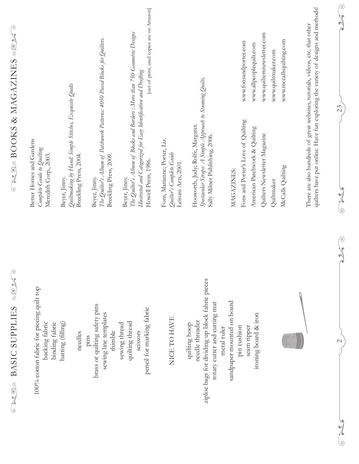| Serre<br>SUPPLIES<br><b>ORACO BASIC</b>                                                                                             |                                                                                                                                 | $\odot$<br>CAOS BOOKS & MAGAZINES %                                                                                                                               |  |
|-------------------------------------------------------------------------------------------------------------------------------------|---------------------------------------------------------------------------------------------------------------------------------|-------------------------------------------------------------------------------------------------------------------------------------------------------------------|--|
| 100% cotton fabric for piecing quilt top<br>backing fabric<br>binding fabric                                                        | Better Homes and Gardens<br>Complete Guide to Quilting<br>Meredith Corp., 2003.                                                 |                                                                                                                                                                   |  |
| batting (filling)<br>needles                                                                                                        | Quiltmaking by Hand: Simple Stitches, Exquisite Quilts<br>Breckling Press, 2004.<br>Beyer, Jinny.                               |                                                                                                                                                                   |  |
| brass or quilting safety pins<br>sewing line templates<br>thimble<br>$\frac{1}{2}$                                                  | Breckling Press, 2009.<br>Beyer, Jinny.                                                                                         | The Quilter's Album of Patchwork Patterns: 4050 Pieced Blocks for Quilters.                                                                                       |  |
| pencil for marking fabric<br>quilting thread<br>sewing thread<br>scissors                                                           | The Quilter's Album of Blocks and Borders : More than<br>Howell Press, 1986.<br>Beyer, Jinny.                                   | [out of print, used copies are on Amazon]<br>750 Geometric Designs<br>Illustrated and Categorized for Easy Identification and Drafting                            |  |
| NICE TO HAVE                                                                                                                        | Fons, Marianne; Porter, Liz.<br>Quilter's Complete Guide<br>Leisure Arts, 2001.                                                 |                                                                                                                                                                   |  |
| ziploc bags for dividing up block fabric pieces<br>rotary cutter and cutting mat<br>needle threader<br>quilting hoop<br>metal ruler | Spectacular Scraps: A Simple Approach to Stunning Quilts.<br>Hooworth, Judy; Rolfe, Margaret.<br>Sally Milner Publishing, 2006. |                                                                                                                                                                   |  |
| sandpaper mounted on board<br>ironing board & iron<br>pin cushion<br>seam ripper                                                    | Fons and Porter's Love of Quilting<br>American Patchwork & Quilting<br>Quilters Newsletter Magazine<br>MAGAZINES:               | www.quiltersnewsletter.com<br>www.fonsandporter.com<br>www.allpeoplequilt.com                                                                                     |  |
|                                                                                                                                     | McCalls Quilting<br>Quiltmaker                                                                                                  | www.mccallsquilting.com<br>www.quiltmaker.com                                                                                                                     |  |
|                                                                                                                                     |                                                                                                                                 | quilters have put online. Have fun exploring the variety of designs and methods!<br>There are also hundreds of great websites, tutorials, videos, etc. that other |  |
| $\mathcal{L}$<br>$\frac{9}{6}$                                                                                                      | $\frac{9}{6}$<br>e K                                                                                                            | $\odot$<br>$\sqrt{ }$<br>$\blacktriangleright$<br>۵<br>23                                                                                                         |  |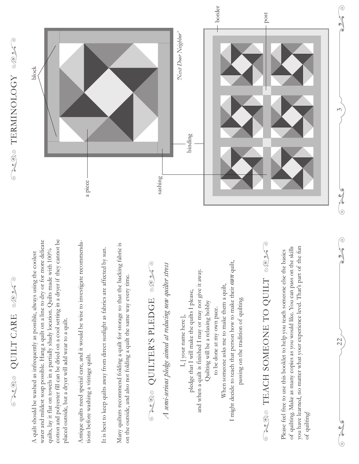# THE STRIP CHARE

water and mildest soap possible. Hang a quilt on a line to dry or for more delicate cotton and polyester fill can be dried on a cool setting in a dryer if they cannot be cotton and polyester fill can be dried on a cool setting in a dryer if they cannot be water and mildest soap possible. Hang a quilt on a line to dry or for more delicate quilts, lay it flat on towels in a partially shady location. Quilts made with 100% quilts, lay it flat on towels in a partially shady location. Quilts made with 100% A quilt should be washed as infrequently as possible, always using the coolest A quilt should be washed as infrequently as possible, always using the coolest placed outside, but a dryer will add wear to a quilt. placed outside, but a dryer will add wear to a quilt.

Antique quilts need special care, and it would be wise to investigate recommenda-Antique quilts need special care, and it would be wise to investigate recommendations before washing a vintage quilt. tions before washing a vintage quilt.

It is best to keep quilts away from direct sunlight as fabrics are affected by sun. It is best to keep quilts away from direct sunlight as fabrics are affected by sun. Many quilters recommend folding a quilt for storage so that the backing fabric is Many quilters recommend folding a quilt for storage so that the backing fabric is on the outside, and also not folding a quilt the same way every time. on the outside, and also not folding a quilt the same way every time.

## TRISPLEDGE of the Color QUILTER'S PLEDGE

A semi-serious pledge aimed at reducing new quilter stress *A semi-serious pledge aimed at reducing new quilter stress*

I might decide to teach that person how to make their *own* quilt, I might decide to teach that person how to make their own quilt, and when a quilt is finished I may or may not give it away. and when a quilt is finished I may or may not give it away. When someone asks me to make them a quilt, When someone asks me to make them a quilt, pledge that I will make the quilts I please, pledge that I will make the quilts I please, passing on the tradition of quilting. passing on the tradition of quilting. Quilting will be a relaxing hobby Quilting will be a relaxing hobby to be done at my own pace. to be done at my own pace. I, [your name here], I, [ your name here ],

## TEACH SOMEONE TO QUILT 0025 TEACH SOMEONE TO QUILT

you have learned, no matter what your experience level. That's part of the fun of quilting. Make as many copies as you would like. You can pass on the skills of quilting. Make as many copies as you would like. You can pass on the skills you have learned, no matter what your experience level. That's part of the fun Please feel free to use this booklet to help you teach someone else the basics Please feel free to use this booklet to help you teach someone else the basics of quilting!

22

 $\frac{9}{6}$ 

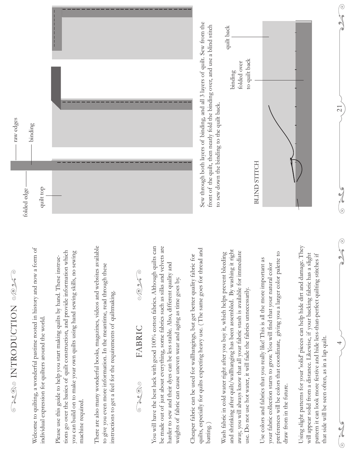## **ONCE INTRODUCTION** COMP INTRODUCTION

Welcome to quilting, a wonderful pastime rooted in history and now a form of Welcome to quilting, a wonderful pastime rooted in history and now a form of individual expression for quilters around the world. individual expression for quilters around the world.

tions go over the basics of quilt construction, and provide information which tions go over the basics of quilt construction, and provide information which you can build on to make your own quilts using hand sewing skills, no sewing you can build on to make your own quilts using hand sewing skills, no sewing ا با Please use this guide to help you start making quilts by hand. These instruc machine required. machine required.

There are also many wonderful books, magazines, videos and websites available There are also many wonderful books, magazines, videos and websites available to give you even more information. In the meantime, read through these to give you even more information. In the meantime, read through these instructions to get a feel for the requirements of quiltmaking. instructions to get a feel for the requirements of quiltmaking

#### SOKO FABRIC FABRIC 00000

You will have the best luck with good 100% cotton fabrics. Although quilts can be made out of just about everything, some fabrics such as silks and velvets are be made out of just about everything, some fabrics such as silks and velvets are You will have the best luck with good 100% cotton fabrics. Although quilts can harder to sew and their dyes can be less stable. Also, different quality and harder to sew and their dyes can be less stable. Also, different quality and weights of fabric can cause uneven wear and aging as time goes by. weights of fabric can cause uneven wear and aging as time goes by.

quilts, especially for quilts expecting heavy use. ( The same goes for thread and quilts, especially for quilts expecting heavy use. (The same goes for thread and Cheaper fabric can be used for wallhangings, but get better quality fabric for Cheaper fabric can be used for wallhangings, but get better quality fabric for batting. )

and shrinking after quilt/wallhanging has been assembled. By washing it right and shrinking after quilt/wallhanging has been assembled. By washing it right away, you will always know that all your fabric stash is available for immediate away, you will always know that all your fabric stash is available for immediate Wash fabric in cold water right after you buy it, which helps prevent bleeding Wash fabric in cold water right after you buy it, which helps prevent bleeding use. Do not use hot water, it will fade the fabrics unnecessarily. use. Do not use hot water, it will fade the fabrics unnecessarily.

preferences will be colors that coordinate, giving you a larger color palette to preferences will be colors that coordinate, giving you a larger color palette to Use colors and fabrics that you really like! This is all the more important as Use colors and fabrics that you really like! This is all the more important as your fabric collection starts to grow. You will find that your natural color your fabric collection starts to grow. You will find that your natural color draw from in the future. draw from in the future.

Using slight patterns for your 'solid' pieces can help hide dirt and damage. They Using slight patterns for your 'solid' pieces can help hide dirt and damage. They will appear solid from a distance. Likewise, if your backing fabric has a slight will appear solid from a distance. Likewise, if your backing fabric has a slight pattern it can look more festive and hide less-than-perfect quilting stitches if pattern it can look more festive and hide less-than-perfect quilting stitches if that side will be seen often, as in a lap quilt. that side will be seen often, as in a lap quilt.

4

 $\frac{7}{6}$ 

 $\begin{array}{c} \hline \begin{array}{c} \hline \end{array} \\ \hline \end{array}$ 

 $\frac{9}{6}$ 

 $\overline{21}$ 



Sew through both layers of binding, and all 3 layers of quilt. Sew from the Sew through both layers of binding, and all 3 layers of quilt. Sew from the front of the quilt, then neatly fold the binding over, and use a blind stitch front of the quilt, then neatly fold the binding over, and use a blind stitch to sew down the binding to the quilt back. to sew down the binding to the quilt back.

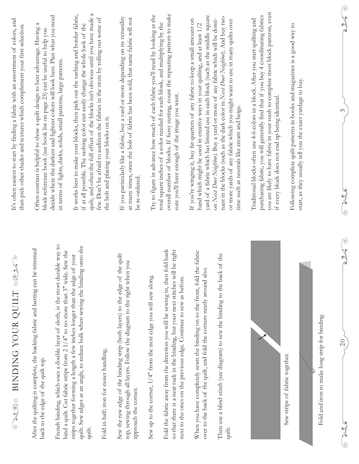| It's often easiest to start by finding a fabric with an assortment of colors, and<br>then pick other shades and textures which complement your first selection. | R<br>Often contrast is helpful to show a quilt design to best advantage. Having<br>block reference book (see book list on page 23) can be useful to help you | decide where the darkest and lightest colors will look best. Plan what you need<br>in terms of lights, darks, solids, small patterns, large patterns.           | quilt, and often the full effect of the blocks isn't obvious until you have made a<br>It works best to make your blocks, then pick out the sashing and border fabric,<br>if at all possible. The sashing color can easily change the whole look of the | few. Don't be afraid to audition the fabrics in the store by rolling out some of<br>the bolt and placing your blocks on it. | If you particularly like a fabric, buy a yard or more depending on its versatility<br>as many times, once the bolt of fabric has been sold, that same fabric will not<br>be re-ordered | Try to figure in advance how much of each fabric you'll need by looking at the | overall number of blocks. If fussy cutting, count the repeating pattern to make<br>total square inches of a color needed for each block, and multiplying by the<br>sure you'll have enough of the image you want.                           | yard of a fabric which has limited use in each block (such as the middle square<br>If you're winging it, buy fat quarters of any fabric to keep a small amount on<br>$\overline{C}$<br>hand which might be used in creative ways in your quilting, and at least 1/ | nant in the blocks (such as the dark color in Next Door Neghbor). And buy two<br>on Next Door Neghbor). Buy a yard or more of any fabric which will be domi-<br>or more yards of any fabric which you might want to use in many quilts over<br>time such as neutrals like cream and beige. | you are likely to have fabric in your stash to complete most block patterns, even<br>purchasing fabric, you will generally find that if you buy 4 coordinating fabrics<br>Traditional blocks often use 4-6 colors in a block. After you start quilting and<br>if every block does not end up being identical. | Following complete quilt patterns in books and magazines is a good way to<br>start, as they usually tell you the exact yardage to buy. | $\mathcal{N}$<br>$\sum$<br>LN<br>$\cancel{2}$<br>0 |
|-----------------------------------------------------------------------------------------------------------------------------------------------------------------|--------------------------------------------------------------------------------------------------------------------------------------------------------------|-----------------------------------------------------------------------------------------------------------------------------------------------------------------|--------------------------------------------------------------------------------------------------------------------------------------------------------------------------------------------------------------------------------------------------------|-----------------------------------------------------------------------------------------------------------------------------|----------------------------------------------------------------------------------------------------------------------------------------------------------------------------------------|--------------------------------------------------------------------------------|---------------------------------------------------------------------------------------------------------------------------------------------------------------------------------------------------------------------------------------------|--------------------------------------------------------------------------------------------------------------------------------------------------------------------------------------------------------------------------------------------------------------------|--------------------------------------------------------------------------------------------------------------------------------------------------------------------------------------------------------------------------------------------------------------------------------------------|---------------------------------------------------------------------------------------------------------------------------------------------------------------------------------------------------------------------------------------------------------------------------------------------------------------|----------------------------------------------------------------------------------------------------------------------------------------|----------------------------------------------------|
| $\odot$<br>۹ŕ<br>$\mathcal{L}_{\mathcal{A}}$<br>BINDING YOUR QUILT<br>$\frac{1}{2}$<br>$\circ$                                                                  | After the quilting is complete, the backing fabric and batting can be trimmed<br>back to the edge of the quilt top.                                          | French binding, which uses a double layer of cloth, is the most durable way to<br>bind a quilt. Cut fabric strips from $21/4"$ to no more than 3" wide. Sew the | quilt. Sew edges at an angle, to reduce bulk when sewing the binding onto the<br>your<br>strips together forming a length a few inches longer than the edge of<br>quilt.                                                                               | Fold in half; iron for easier handling,                                                                                     | quilt<br>top, sewing through all layers. Follow the diagram to the right when you<br>Sew the raw edge of the binding strip (both layers) to the edge of the<br>approach the corner.    | Sew up to the corner, $1/4$ " from the next edge you will sew along.           | Fold the fabric away from the direction you will be sewing in, then fold back<br>e right<br>so that there is a neat tuck in the binding, but your next stitches will b<br>next to the ones on the previous edge. Continue to sew as before. | fabric<br>When you have completely sewn the binding on to the front, fold the<br>over to the back of the quilt, and fold the corners neatly around also.                                                                                                           | Then use a blind stitch (see diagram) to sew the binding to the back of the<br>quilt.                                                                                                                                                                                                      |                                                                                                                                                                                                                                                                                                               | Fold and iron to make long strip for binding.<br>Sew strips of fabric together.                                                        | $\odot$<br>YCC<br>$\overline{20}$<br>پا<br>G       |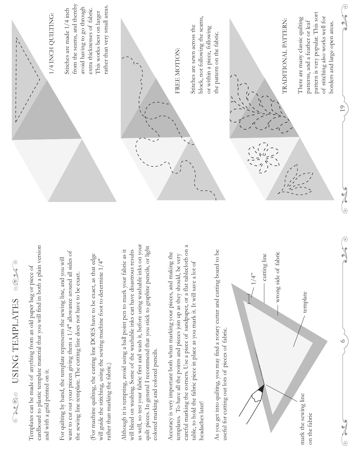#### SOK® **THATES** USING TEMPLATES

cardboard to plastic template material that you will find in both a plain version cardboard to plastic template material that you will find in both a plain version Templates can be made of anything from an old paper bag or piece of Templates can be made of anything from an old paper bag or piece of and with a grid printed on it. and with a grid printed on it.

want to cut out your pieces giving them a  $1/4$ " allowance around all sides of want to cut out your pieces giving them a 1/4" allowance around all sides of For quilting by hand, the template represents the sewing line, and you will For quilting by hand, the template represents the sewing line, and you will the sewing line template. The cutting line does not have to be exact. the sewing line template. The cutting line does not have to be exact.

(For machine quilting, the cutting line DOES have to be exact, as that edge (For machine quilting, the cutting line DOES have to be exact, as that edge will guide the stitching, using the sewing machine foot to determine 1/4" will guide the stitching, using the sewing machine foot to determine  $1/4"$ rather than marking the fabric.) rather than marking the fabric.)

as well, so test your fabric first and wash it, before using washable inks on your as well, so test your fabric first and wash it, before using washable inks on your quilt pieces. In general I recommend that you stick to graphite pencils, or light quilt pieces. In general I recommend that you stick to graphite pencils, or light Although it is tempting, avoid using a ball point pen to mark your fabric as it Although it is tempting, avoid using a ball point pen to mark your fabric as it will bleed on washing. Some of the washable inks can have disastrous results will bleed on washing. Some of the washable inks can have disastrous results colored marking and colored pencils. colored marking and colored pencils.

careful marking the corners. Use a piece of sandpaper, or a flat tablecloth on a careful marking the corners. Use a piece of sandpaper, or a flat tablecloth on a Accuracy is very important both when marking your pieces, and making the Accuracy is very important both when marking your pieces, and making the templates. To have all the points and pieces join up as they should, be very templates. To have all the points and pieces join up as they should, be very table, to hold the fabric piece in place as you mark it. It will save a lot of table, to hold the fabric piece in place as you mark it. It will save a lot of headaches later! headaches later!

As you get into quilting, you may find a rotary cutter and cutting board to be As you get into quilting, you may find a rotary cutter and cutting board to be useful for cutting out lots of pieces of fabric. useful for cutting out lots of pieces of fabric.



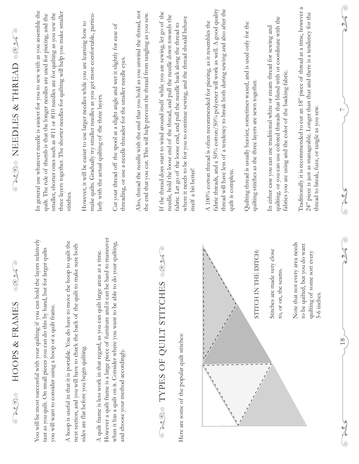| HOOPS & FRAMES<br>200<br>(၆)                                                                                                                                                                                        | $\odot$<br>$\mathbb{C} \mathbb{O}$                                                                             | ROP<br>NEEDLES & THREAD<br>$\frac{1}{2}$<br>$\odot$                                                                                                                                                                                                                        |
|---------------------------------------------------------------------------------------------------------------------------------------------------------------------------------------------------------------------|----------------------------------------------------------------------------------------------------------------|----------------------------------------------------------------------------------------------------------------------------------------------------------------------------------------------------------------------------------------------------------------------------|
| You will be most successful with your quilting if you can hold the layers<br>taut as you quilt. On small pieces you can do this by hand, but for larger<br>you will want to consider using a hoop or a quilt frame. | relatively<br>quilts                                                                                           | In general use whatever needle is easiest for you to sew with as you assemble the<br>smaller, shorter ones such as #11 or #10 needles are for quilting as you sew the<br>quilt. The rule of thumb is that the longer needles are used for piecing, and the                 |
| next section, and you will have to check the back of the quilt to make sure both<br>A hoop is useful in that it is portable. You do have to move the hoop to                                                        | quilt the                                                                                                      | three layers together. The shorter needles for quilting will help you make smaller<br>stitches.                                                                                                                                                                            |
| However a quilt frame is a large piece of furniture and it can be hard to<br>A quilt frame is less work in that regard, as you can quilt large areas at a<br>sides are flat before you begin quilting.              | time.                                                                                                          | make quilts. Gradually try smaller needles as you get more comfortable, particu-<br>However, it will be easier to use larger needles while you are learning how to<br>larly with the actual quilting of the three layers.                                                  |
| when it has a quilt on it. Consider where you want to be able to do your<br>and choose your method accordingly.                                                                                                     | maneuver<br>quilting,                                                                                          | Cut your thread off the spool at a slight angle and wet it slightly for ease of<br>threading, or use a needle threader for the smaller needle eyes.                                                                                                                        |
|                                                                                                                                                                                                                     |                                                                                                                | Also, thread the needle with the end that you hold as you unwind the thread, not<br>the end that you cut. This will help prevent the thread from tangling as you sew.                                                                                                      |
| TYPES OF QUILT STITCHES<br>$\frac{1}{2}$                                                                                                                                                                            | $\odot$                                                                                                        | If the thread does start to wind around itself while you are sewing, let go of the<br>needle, hold the loose end of the thread, and pull the needle down towards the                                                                                                       |
| Here are some of the popular quilt stitches:                                                                                                                                                                        |                                                                                                                | where it needs to be for you to continue sewing, and the thread should behave<br>fabric. Let go of the loose end, and pull the needle back along the thread to<br>itself a bit better!                                                                                     |
|                                                                                                                                                                                                                     | Iý.                                                                                                            | fabric threads, and a 50% cotton/50% polyester will work as well. A good quality<br>thread will have less of a tendency to break both during sewing and also after the<br>A 100% cotton thread is often recommended for piecing, as it resembles the<br>quilt is complete. |
|                                                                                                                                                                                                                     | STITCH IN THE DITCH:                                                                                           | Quilting thread is usually heavier, sometimes waxed, and is used only for the<br>quilting stitches as the three layers are sewn together.                                                                                                                                  |
|                                                                                                                                                                                                                     | close<br>Stitches are made very<br>to, or on, the seams.                                                       | quilting, or you can use colored threads that blend with or coordinate with the<br>In either case you can use traditional white or cream thread for sewing and<br>fabrics you are using and the color of the backing fabric.                                               |
|                                                                                                                                                                                                                     | Note that not every area needs<br>to be quilted, but you do want<br>quilting of some sort every<br>5-6 inches. | $\approx$<br>Traditionally it is recommended to cut an 18" piece of thread at a time, however<br>24" piece is just as manageable. Longer than that and there is a tendency for the<br>thread to break, fuzz, or tangle as you sew.                                         |
| $\frac{8}{18}$                                                                                                                                                                                                      | $\widehat{c}$<br>$\mathcal{N}$<br>$\sum$                                                                       | $\odot$<br>$\mathcal{N}$<br>$\frac{1}{2}$<br>$\overline{\phantom{0}}$<br>$\cancel{2}$<br>$\odot$                                                                                                                                                                           |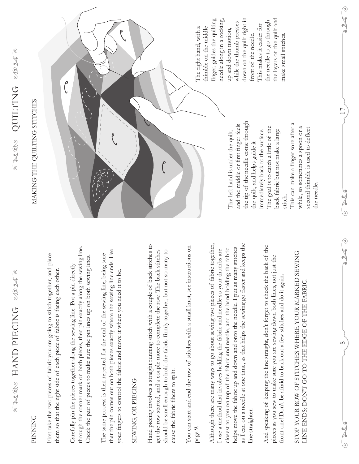#### **PINNING** PINNING

First take the two pieces of fabric you are going to stitch together, and place First take the two pieces of fabric you are going to stitch together, and place them so that the right side of each piece of fabric is facing each other. them so that the right side of each piece of fabric is facing each other.

through the corner mark on both pieces, then pin exactly along the sewing line. through the corner mark on both pieces, then pin exactly along the sewing line. Check the pair of pieces to make sure the pin lines up on both sewing lines. Check the pair of pieces to make sure the pin lines up on both sewing lines. Carefully pin the pieces together along the sewing line. Put a pin directly Carefully pin the pieces together along the sewing line. Put a pin directly

that the pin comes out on both pieces exactly where the sewing line ends. Use that the pin comes out on both pieces exactly where the sewing line ends. Use The same process is then repeated for the end of the sewing line, being sure The same process is then repeated for the end of the sewing line, being sure your fingers to control the fabric and move it where you need it to be. your fingers to control the fabric and move it where you need it to be.

#### SEWING, OR PIECING SEWING, OR PIECING

Hand piecing involves a straight running stitch with a couple of back stitches to Hand piecing involves a straight running stitch with a couple of back stitches to get the row started, and a couple more to complete the row. The back stitches get the row started, and a couple more to complete the row. The back stitches should be small enough to hold the fabric firmly together, but not so many to should be small enough to hold the fabric firmly together, but not so many to cause the fabric fibers to split. cause the fabric fibers to split.

You can start and end the row of stitches with a small knot, see instructions on You can start and end the row of stitches with a small knot, see instructions on page 9.

Although there are many ways to go about sewing two pieces of fabric together, as I can on a needle at one time, as that helps the sewing go faster and keeps the Although there are many ways to go about sewing two pieces of fabric together, as I can on a needle at one time, as that helps the sewing go faster and keeps the helps move the fabric up and down and onto the needle. I put as many stitches helps move the fabric up and down and onto the needle. I put as many stitches closest to you on top of the fabric and needle, and the hand holding the fabric closest to you on top of the fabric and needle, and the hand holding the fabric I use a method that involves holding the fabric and needle so your thumbs are I use a method that involves holding the fabric and needle so your thumbs are line straighter. line straighter.

And speaking of keeping the line straight, don't forget to check the back of the And speaking of keeping the line straight, don't forget to check the back of the pieces as you sew to make sure you are sewing down both lines, not just the pieces as you sew to make sure you are sewing down both lines, not just the front one! Don't be afraid to back out a few stitches and do it again. front one! Don't be afraid to back out a few stitches and do it again.

#### STOP YOUR ROW OF STITCHES WHERE YOUR MARKED SEWING STOP YOUR ROW OF STITCHES WHERE YOUR MARKED SEWING LINE ENDS; DON'T GO TO THE EDGE OF THE FABRIC. LINE ENDS; DON'T GO TO THE EDGE OF THE FABRIC.

 $\infty$ 

 $\frac{9}{6}$ 

17

 $\frac{9}{6}$ 

TRIDING ONLINE

#### MAKING THE QUILTING STITCHES MAKING THE QUILTING STITCHES



the tip of the needle come through the tip of the needle come through and the middle or first finger feels and the middle or first finger feels The goal is to catch a little of the The goal is to catch a little of the back fabric but not make a large back fabric but not make a large immediately back to the surface. immediately back to the surface. the quilt, and helps guide it the quilt, and helps guide it stitch.

This can make a finger sore after a This can make a finger sore after a while, so sometimes a spoon or a while, so sometimes a spoon or a second thimble is used to deflect second thimble is used to deflect the needle. the needle.

down on the quilt right in down on the quilt right in the layers of the quilt and the layers of the quilt and finger, guides the quilting needle along in a rocking, the needle to go through the needle to go through while the thumb presses while the thumb presses This makes it easier for This makes it easier for front of the needle. make small stitches. front of the needle. make small stitches.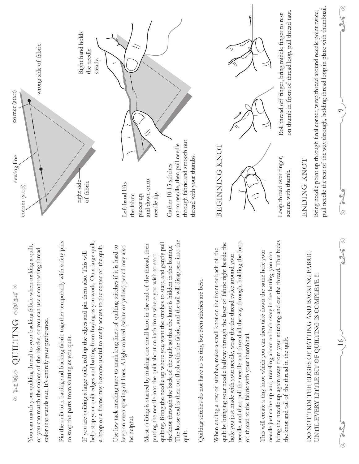### THE DNILING CONT QUILTING

You can match your quilting thread to your backing fabric when making a quilt, You can match your quilting thread to your backing fabric when making a quilt, or you can match the colors of the blocks, or you can use a contrasting thread or you can match the colors of the blocks, or you can use a contrasting thread color that stands out. It's entirely your preference. color that stands out. It's entirely your preference.

Pin the quilt top, batting and backing fabric together temporarily with safety pins Pin the quilt top, batting and backing fabric together temporarily with safety pins to stop the parts from shifting as you quilt. to stop the parts from shifting as you quilt.

help stop your quilt edges and batting from fraying as you work. On a large quilt, help stop your quilt edges and batting from fraying as you work. On a large quilt, a hoop or a frame may become useful to easily access to the center of the quilt. a hoop or a frame may become useful to easily access to the center of the quilt. If you are quilting a large quilt, roll up the edges and pin them also. This will If you are quilting a large quilt, roll up the edges and pin them also. This will

Use low tack masking tape to mark long lines of quilting stitches if it is hard to Use low tack masking tape to mark long lines of quilting stitches if it is hard to keep an even spacing of lines. A light colored (white or yellow) pencil may also keep an even spacing of lines. A light colored (white or yellow) pencil may also be helpful.

The loose end is then cut flush with the fabric, and the tail will disappear into the The loose end is then cut flush with the fabric, and the tail will disappear into the quilting. Bring the needle up where you want the stitches to start, and gently pull quilting. Bring the needle up where you want the stitches to start, and gently pull Most quilting is started by making one small knot in the end of the thread, then Most quilting is started by making one small knot in the end of the thread, then the knot through the back of the quilt so that the knot is hidden in the batting. the knot through the back of the quilt so that the knot is hidden in the batting. putting the needle into the quilt about an inch from where you wish to start putting the needle into the quilt about an inch from where you wish to start quilt.

Quilting stitches do not have to be tiny, but even stitches are best. Quilting stitches do not have to be tiny, but even stitches are best.

needle, and then pull the needle and thread all the way through, holding the loop quilt by bringing your needle halfway through the layer of fabric right beside the needle, and then pull the needle and thread all the way through, holding the loop quilt by bringing your needle halfway through the layer of fabric right beside the When ending a row of stitches, make a small knot on the front or back of the When ending a row of stitches, make a small knot on the front or back of the hole you just made with your needle, wrap the the thread twice around your hole you just made with your needle, wrap the the thread twice around your of thread to the fabric with your thumbnail. of thread to the fabric with your thumbnail.

bring the needle up again away from your stitching and cut the thread. This hides bring the needle up again away from your stitching and cut the thread. This hides This will create a tiny knot which you can then take down the same hole your This will create a tiny knot which you can then take down the same hole your needle just came up and, traveling about an inch away in the batting, you can needle just came up and, traveling about an inch away in the batting, you can the knot and tail of the thread in the quilt. the knot and tail of the thread in the quilt.

DO NOT TRIM THE EDGES OF BATTING AND BACKING FABRIC DO NOT TRIM THE EDGES OF BATTING AND BACKING FABRIC UNTIL EVERY LITTLE BIT OF QUILTING IS COMPLETE !!! UNTIL EVERY LITTLE BIT OF QUILTING IS COMPLETE !!!



#### BEGINNING KNOT BEGINNING KNOT



Loop thread over finger, Loop thread over finger, secure with thumb. secure with thumb.

Roll thread off finger, bring middle finger to rest



on thumb in front of thread loop, pull thread taut. on thumb in front of thread loop, pull thread taut. ENDING KNOT

ENDING KNOT

pull needle the rest of the way through, holding thread loop in place with thumbnail. pull needle the rest of the way through, holding thread loop in place with thumbnail. Bring needle point up through final corner, wrap thread around needle point twice, Bring needle point up through final corner, wrap thread around needle point twice,

 $\odot$ 

16 9  $\frac{1}{2}$ 

JU 6

 $\frac{9}{6}$ 

 $\frac{1}{\sqrt{2}}$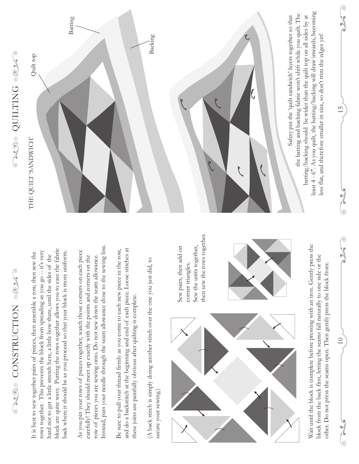# CONSTRUCTION QUE SOLO NOR CHARGE CALON CONSTRUCTION VOLT

block are quite wavy. Putting the rows together allows you to ease the fabric block are quite wavy. Putting the rows together allows you to ease the fabric rows together. This prevents the block from spreading as you go -- it's very rows together. This prevents the block from spreading as you go -- it's very back where it should be as you proceed so that your block is more uniform. It is best to sew together pairs of pieces, then assemble a row, then sew the back where it should be as you proceed so that your block is more uniform. It is best to sew together pairs of pieces, then assemble a row, then sew the hard not to get a little stretch here, a little bow there, until the sides of the hard not to get a little stretch here, a little bow there, until the sides of the

Instead, pass your needle through the seam allowance close to the sewing line. Instead, pass your needle through the seam allowance close to the sewing line. As you pin your rows of pieces together, watch those corners on each piece As you pin your rows of pieces together, watch those corners on each piece row of pieces you are sewing onto. Do not sew down the seam allowance. carefully! They should meet up exactly with the points and corners on the carefully! They should meet up exactly with the points and corners on the row of pieces you are sewing onto. Do not sew down the seam allowance.

and do a backstitch at the beginning and end of each piece. Loose stitches at Be sure to pull your thread firmly as you come to each new piece in the row, and do a backstitch at the beginning and end of each piece. Loose stitches at Be sure to pull your thread firmly as you come to each new piece in the row, these joins are painfully obvious after quilting is complete. these joins are painfully obvious after quilting is complete.

(A back stitch is simply doing another stitch over the one you just did, to (A back stitch is simply doing another stitch over the one you just did, to secure your sewing.) secure your sewing.



Wait until the block is complete before pressing with an iron. Gently press the Wait until the block is complete before pressing with an iron. Gently press the block from the back first, letting the seams fall naturally to one side or the block from the back first, letting the seams fall naturally to one side or the other. Do not press the seams open. Then gently press the block front. other. Do not press the seams open. Then gently press the block front.

## TROS QUILITING



Sew pairs, then add on corner triangles. Sew the units together, then sew the rows together.

Sew pairs, then add on

then sew the rows together.

10 15

 $\odot$ 

 $\frac{1}{6}$ 

 $\odot$ 

 $\frac{15}{1}$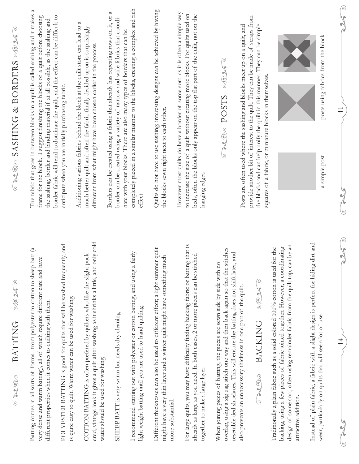| essesse<br><b>BATTING</b><br>00000                                                                                                                                                                                                                                                                                     | CAQUE SASHING & BORDERS OOK                                                                                                                                                                                                                                                                                                                  |
|------------------------------------------------------------------------------------------------------------------------------------------------------------------------------------------------------------------------------------------------------------------------------------------------------------------------|----------------------------------------------------------------------------------------------------------------------------------------------------------------------------------------------------------------------------------------------------------------------------------------------------------------------------------------------|
| Batting comes in all sorts of forms, from polyester to cotton to sheep batt (a<br>very dense and warm batting), all of which require different care and have<br>different properties when it comes to quilting with them.                                                                                              | The fabric that goes in between blocks in a quilt is called sashing and it makes a<br>frame for the block. I suggest finishing the blocks of a quilt before choosing<br>border fabric will tend to dominate the quilt, and the effect can be difficult to<br>the sashing, border and binding material if at all possible, as the sashing and |
| POLYESTER BATTING is good for quilts that will be washed frequently, and<br>is quite easy to quilt. Warm water can be used for washing.                                                                                                                                                                                | anticipate when you are initially purchasing fabric.                                                                                                                                                                                                                                                                                         |
| ered, vintage look it gives a quilt after washing as it shrinks a little, and only cold<br>COTTON BATTING is often prefered by quilters who like the slight puck-<br>water should be used for washing.                                                                                                                 | Auditioning various fabrics behind the block at the quilt store can lead to a<br>much better quilt and often the fabric finally decided upon is surprisingly<br>different from what might have been chosen earlier in the process.                                                                                                           |
| SHEEP BATT is very warm but needs dry cleaning.                                                                                                                                                                                                                                                                        | Borders can be created using a fabric that already has repeating rows on it, or a<br>border can be created using a variety of narrow and wide fabrics that coordi-                                                                                                                                                                           |
| I recommend starting out with polyester or cotton batting, and using a fairly<br>light weight batting until you are used to hand quilting.                                                                                                                                                                             | completely pieced in a similar manner to the blocks, creating a complex and rich<br>nate with your blocks. There are also many types of borders that can be<br>effect.                                                                                                                                                                       |
| Different thicknesses can also be used to different effect; a light summer quilt<br>might have a very thin layer and a winter quilt might have something much<br>more substantial.                                                                                                                                     | Quilts do not have to use sashing; interesting designs can be achieved by having<br>the blocks sewn right next to each other.                                                                                                                                                                                                                |
| that is<br>already as large as you need. In both cases, 2 or more pieces can be stitched<br>For large quilts, you may have difficulty finding backing fabric or batting<br>together to make a large layer.                                                                                                             | However most quilts do have a border of some sort, as it is often a simple way<br>to increase the size of a quilt without creating more blocks. For quilts used on<br>beds, often the blocks only appear on the top flat part of the quilt, not on the<br>hanging edges.                                                                     |
| overlap, using a zig zag stitch one way and then back again so that the stitches<br>and<br>When joining pieces of batting, the pieces are sewn side by side with no<br>resemble tied shoelaces. This will ensure the batting does not shift later,<br>also prevents an unnecessary thickness in one part of the quilt. | $\odot$<br>KOR<br>SLSOd posts                                                                                                                                                                                                                                                                                                                |
| NO 26<br><b>BACKING</b><br>$-200$                                                                                                                                                                                                                                                                                      | provide another bit of interest to the quilt. They can be made of scraps from<br>the blocks and can help unify the quilt in this manner. They can be simple<br>Posts are often used where the sashing and blocks meet up on a quilt, and<br>squares of a fabric, or miniature blocks in themselves.                                          |
| design of some sort, often using remainder fabric from the quilt top, can be an<br>backing, using a few pieces of fabric joined together. However, a coordinating<br>Traditionally a plain fabric such as a solid colored 100% cotton is used for the<br>attractive addition.                                          |                                                                                                                                                                                                                                                                                                                                              |
| Instead of plain fabric, a fabric with a slight design is perfect for hiding dirt and<br>wear, particularly on quilts that will see a lot of use.                                                                                                                                                                      | posts using fabrics from the block<br>a simple post                                                                                                                                                                                                                                                                                          |
| $\widehat{c}$<br>$\sqrt{ }$<br>$\blacktriangle$<br>$\overline{4}$<br>$\overline{\mathbb{C}}$<br>0                                                                                                                                                                                                                      | <b>VP</b><br>$\frac{1}{2}$<br>$\overline{11}$<br>$\overline{\phantom{a}}$<br>$\odot$                                                                                                                                                                                                                                                         |